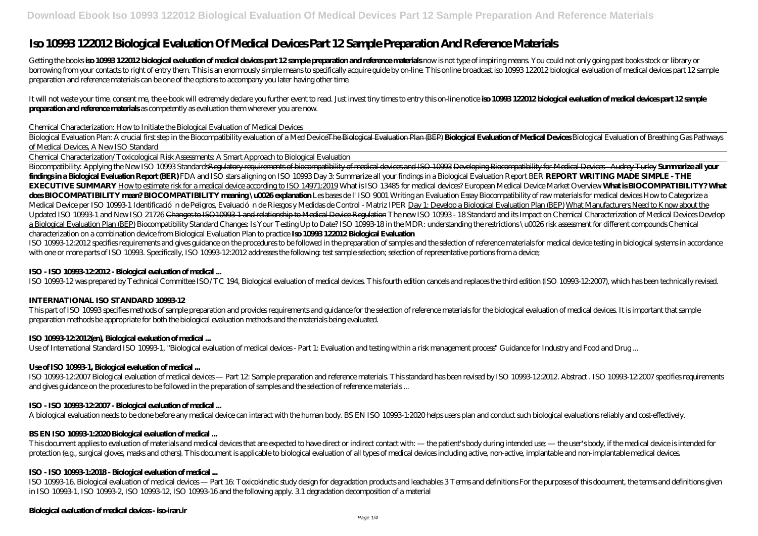# **Iso 10993 122012 Biological Evaluation Of Medical Devices Part 12 Sample Preparation And Reference Materials**

Getting the books iso 10988 122012 biological evaluation of medical devices part 12 sample preparation and reference materials now is not type of inspiring means. You could not only going past books stock or library or borrowing from your contacts to right of entry them. This is an enormously simple means to specifically acquire guide by on-line. This online broadcast iso 10993 122012 biological evaluation of medical devices part 12 sample preparation and reference materials can be one of the options to accompany you later having other time.

It will not waste your time, consent me, the e-book will extremely declare you further event to read. Just invest tiny times to entry this on-line notice **iso 10993 122012 biological evaluation of medical devices part 12 s preparation and reference materials** as competently as evaluation them wherever you are now.

Biological Evaluation Plan: A crucial first step in the Biocompatibility evaluation of a Med Device<del>The Biological Evaluation Plan (BEP</del>) **Biological Evaluation of Medical Device**s Biological Evaluation of Breathing Gas Pa *of Medical Devices, A New ISO Standard*

### *Chemical Characterization: How to Initiate the Biological Evaluation of Medical Devices*

Chemical Characterization/Toxicological Risk Assessments: A Smart Approach to Biological Evaluation

Biocompatibility: Applying the New ISO 10993 StandardsRegulatory requirements of biocompatibility of medical devices and ISO 10993 Developing Biocompatibility for Medical Devices - Audrey Turley **Summarize all your findings in a Biological Evaluation Report (BER)** FDA and ISO stars aligning on ISO 10993 Day 3: Summarize all your findings in a Biological Evaluation Report BER **REPORT WRITING MADE SIMPLE - THE EXECUTIVE SUMMARY** How to estimate risk for a medical device according to ISO 14971:2019 What is ISO 13485 for medical devices? European Medical Device Market Overview **What is BIOCOMPATIBILITY? What** dos BIOCOMPATIBILITY mean? BIOCOMPATIBILITY meaning \u0026 explanation Les bases de l'ISO 9001 Writing an Evaluation Essay Biocompatibility of raw materials for medical devices How to Categorize a Medical Device per ISO 10993-1 *Identificación de Peligros, Evaluación de Riesgos y Medidas de Control - Matriz IPER* Day 1: Develop a Biological Evaluation Plan (BEP) What Manufacturers Need to Know about the Updated ISO 10993-1 and New ISO 21726 Changes to ISO 10093-1 and relationship to Medical Device Regulation The new ISO 10993-18 Standard and its Impact on Chemical Characterization of Medical Devices Develop a Biological Evaluation Plan (BEP) Biocompatibility Standard Changes: Is Your Testing Up to Date? ISO 10993-18 in the MDR: understanding the restrictions \u0026 risk assessment for different compounds *Chemical characterization on a combination device from Biological Evaluation Plan to practice* **Iso 10993 122012 Biological Evaluation**

ISO 10993-12:2012 specifies requirements and gives guidance on the procedures to be followed in the preparation of samples and the selection of reference materials for medical device testing in biological systems in accord with one or more parts of ISO 10993. Specifically, ISO 10993-12:2012 addresses the following: test sample selection; selection of representative portions from a device;

This document applies to evaluation of materials and medical devices that are expected to have direct or indirect contact with — the patient's body during intended use; — the user's body, if the medical device is intended protection (e.g., surgical gloves, masks and others). This document is applicable to biological evaluation of all types of medical devices including active, non-active, implantable and non-implantable medical devices.

# **ISO - ISO 10993-12:2012 - Biological evaluation of medical ...**

ISO 10993-12 was prepared by Technical Committee ISO/TC 194, Biological evaluation of medical devices. This fourth edition cancels and replaces the third edition (ISO 10993-12:2007), which has been technically revised.

# **INTERNATIONAL ISO STANDARD 1099312**

This part of ISO 10993 specifies methods of sample preparation and provides requirements and guidance for the selection of reference materials for the biological evaluation of medical devices. It is important that sample preparation methods be appropriate for both the biological evaluation methods and the materials being evaluated.

# **ISO 10993-12:2012(en), Biological evaluation of medical ...**

Use of International Standard ISO 10993-1, "Biological evaluation of medical devices - Part 1: Evaluation and testing within a risk management process" Guidance for Industry and Food and Drug ...

# **Use of ISO 10993-1, Biological evaluation of medical ...**

ISO 10993-12:2007 Biological evaluation of medical devices — Part 12: Sample preparation and reference materials. This standard has been revised by ISO 10993-12:2012. Abstract . ISO 10993-12:2007 specifies requirements and gives guidance on the procedures to be followed in the preparation of samples and the selection of reference materials ...

# **ISO - ISO 10993-12:2007 - Biological evaluation of medical ...**

A biological evaluation needs to be done before any medical device can interact with the human body. BS EN ISO 10993-1:2020 helps users plan and conduct such biological evaluations reliably and cost-effectively.

# **BS EN ISO 10993-1:2020 Biological evaluation of medical ...**

# **ISO - ISO 10993-1:2018 - Biological evaluation of medical ...**

ISO 10993-16, Biological evaluation of medical devices — Part 16: Toxicokinetic study design for degradation products and leachables 3 Terms and definitions For the purposes of this document, the terms and definitions given in ISO 10993-1, ISO 10993-2, ISO 10993-12, ISO 10993-16 and the following apply. 3.1 degradation decomposition of a material

# **Biological evaluation of medical devices - iso-iran.ir**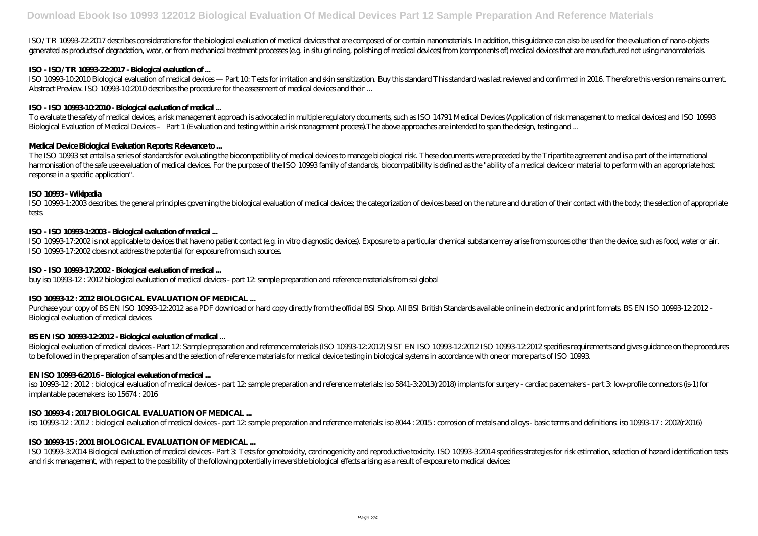ISO/TR 10993-22:2017 describes considerations for the biological evaluation of medical devices that are composed of or contain nanomaterials. In addition, this guidance can also be used for the evaluation of nano-objects generated as products of degradation, wear, or from mechanical treatment processes (e.g. in situ grinding, polishing of medical devices) from (components of) medical devices that are manufactured not using nanomaterials.

# **ISO - ISO/TR 10993-22:2017 - Biological evaluation of ...**

ISO 10993-102010Biological evaluation of medical devices— Part 10 Tests for initiation and skin sensitization. Buy this standard This standard was last reviewed and confirmed in 2016 Therefore this version remains current. Abstract Preview. ISO 10993-10:2010 describes the procedure for the assessment of medical devices and their ...

# **ISO - ISO 10993-10:2010 - Biological evaluation of medical ...**

ISO 10993-1:2003 describes the general principles governing the biological evaluation of medical devices the categorization of devices based on the nature and duration of their contact with the body, the selection of appro tests.

To evaluate the safety of medical devices, a risk management approach is advocated in multiple regulatory documents, such as ISO 14791 Medical Devices (Application of risk management to medical devices) and ISO 10993 Biological Evaluation of Medical Devices – Part 1 (Evaluation and testing within a risk management process).The above approaches are intended to span the design, testing and ...

ISO 10993-17:2002 is not applicable to devices that have no patient contact (e.g. in vitro diagnostic devices). Exposure to a particular chemical substance may arise from sources other than the device, such as food, water ISO 10993-17:2002 does not address the potential for exposure from such sources.

# **Medical Device Biological Evaluation Reports: Relevance to ...**

Purchase your copy of BS EN ISO 10993-12:2012 as a PDF download or hard copy directly from the official BSI Shop. All BSI British Standards available online in electronic and print formats. BS EN ISO 10993-12:2012 -Biological evaluation of medical devices.

The ISO 10993 set entails a series of standards for evaluating the biocompatibility of medical devices to manage biological risk. These documents were preceded by the Tripartite agreement and is a part of the international harmonisation of the safe use evaluation of medical devices For the purpose of the ISO 10993 family of standards biocompatibility is defined as the "ability of a medical device or material to perform with an appropriate ho response in a specific application".

iso 10993-12: 2012: biological evaluation of medical devices- part 12 sample preparation and reference materials iso 5841-32013(r2018) implants for surgery- cardiac pacemakers- part 3 low-profile connectors (is-1) for implantable pacemakers: iso 15674 : 2016

# **ISO 10993 - Wikipedia**

# **ISO - ISO 10993-1:2003 - Biological evaluation of medical ...**

ISO 10993-32014 Biological evaluation of medical devices - Part 3 Tests for genotoxicity, carcinogenicity and reproductive toxicity. ISO 10993-32014 specifies strategies for risk estimation, selection of hazard identificat and risk management, with respect to the possibility of the following potentially irreversible biological effects arising as a result of exposure to medical devices:

# **ISO - ISO 10993-17:2002 - Biological evaluation of medical ...**

buy iso 10993-12 : 2012 biological evaluation of medical devices - part 12: sample preparation and reference materials from sai global

# **ISO 10993 12: 2012 BIOLOGICAL EVALUATION OF MEDICAL ...**

# **BS EN ISO 10993-12:2012 - Biological evaluation of medical ...**

Biological evaluation of medical devices - Part 12: Sample preparation and reference materials (ISO 10993-12:2012) SIST EN ISO 10993-12:2012 ISO 10993-12:2012 specifies requirements and gives guidance on the procedures to be followed in the preparation of samples and the selection of reference materials for medical device testing in biological systems in accordance with one or more parts of ISO 10993.

# **EN ISO 10993-6:2016 - Biological evaluation of medical ...**

# **ISO 10993-4 : 2017 BIOLOGICAL EVALUATION OF MEDICAL ...**

iso 10993-12 : 2012 : biological evaluation of medical devices - part 12: sample preparation and reference materials: iso 8044 : 2015 : corrosion of metals and alloys - basic terms and definitions: iso 10993-17 : 2002(r2016)

# **ISO 10993 15: 2001 BIOLOGICAL EVALUATION OF MEDICAL ...**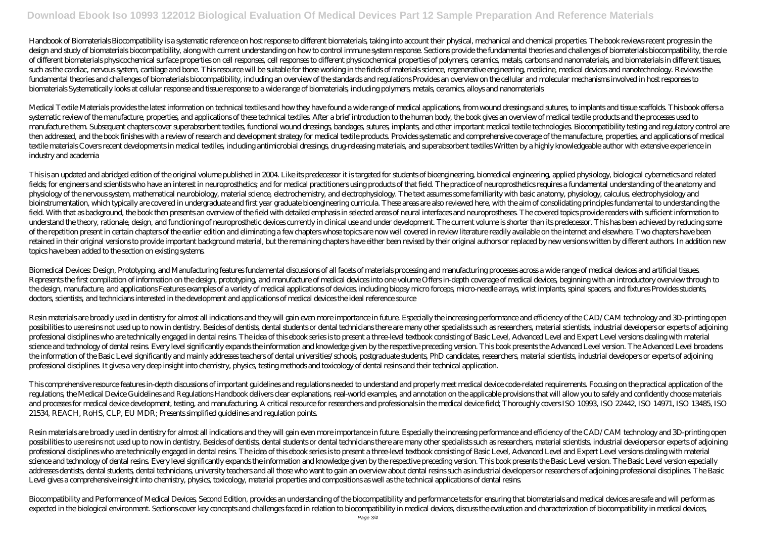Handbook of Biomaterials Biocompatibility is a systematic reference on host response to different biomaterials, taking into account their physical, mechanical and chemical properties. The book reviews recent progress in the design and study of biomaterials biocompatibility, along with current understanding on how to control immune system response. Sections provide the fundamental theories and challenges of biomaterials biocompatibility, the r of different biomaterials physicochemical surface properties on cell responses cell responses to different physicochemical properties of polymers, ceramics, metals, carbons and nanomaterials, and biomaterials in different such as the cardiac, nervous system, cartilage and bone. This resource will be suitable for those working in the fields of materials science, regenerative engineering, medicine, medical devices and nanotechnology. Reviews fundamental theories and challenges of biomaterials biocompatibility, including an overview of the standards and regulations Provides an overview on the cellular and molecular mechanisms involved in host responses to biomaterials Systematically looks at cellular response and tissue response to a wide range of biomaterials, including polymers, metals, ceramics, alloys and nanomaterials

Medical Textile Materials provides the latest information on technical textiles and how they have found a wide range of medical applications, from wound dressings and sutures, to implants and tissue scaffolds. This book of systematic review of the manufacture, properties, and applications of these technical textiles. After a brief introduction to the human body, the book gives an overview of medical textile products and the processes used to manufacture them Subsequent chapters cover superabsorbent textiles, functional wound dressings, bandages, sutures, implants, and other important medical textile technologies. Biocompatibility testing and regulatory control then addressed, and the book finishes with a review of research and development strategy for medical textile products. Provides systematic and comprehensive coverage of the manufacture, properties, and applications of medi textile materials Covers recent developments in medical textiles, including antimicrobial dressings, drug-releasing materials, and superabsorbent textiles Written by a highly knowledgeable author with extensive experience in industry and academia

This is an updated and abridged edition of the original volume published in 2004. Like its predecessor it is targeted for students of bioengineering, biomedical engineering, applied physiology, biological cybernetics and r fields for engineers and scientists who have an interest in neuroprosthetics and for medical practitioners using products of that field. The practice of neuroprosthetics requires a fundamental understanding of the anatomy physiology of the nervous system, mathematical neurobiology, material science, electrochemistry, and electrophysiology. The text assumes some familiarity with basic anatomy, physiology, calculus, electrophysiology and bioinstrumentation, which typically are covered in undergraduate and first year graduate bioengineering curricula. These areas are also reviewed here, with the aim of consolidating principles fundamental to understanding the field. With that as background, the book then presents an overview of the field with detailed emphasis in selected areas of neural interfaces and neuroprostheses. The covered topics provide readers with sufficient informat understand the theory, rationale, design, and functioning of neuroprosthetic devices currently in clinical use and under development. The current volume is shorter than its predecessor. This has been achieved by reducing s of the repetition present in certain chapters of the earlier edition and eliminating a few chapters whose topics are now well covered in review literature readily available on the internet and elsewhere. Two chapters have retained in their original versions to provide important background material, but the remaining chapters have either been revised by their original authors or replaced by new versions written by different authors. In addit topics have been added to the section on existing systems.

Biomedical Devices: Design, Prototyping, and Manufacturing features fundamental discussions of all facets of materials processing and manufacturing processes across a wide range of medical devices and artificial tissues. Represents the first compilation of information on the design, prototyping, and manufacture of medical devices into one volume Offers in-depth coverage of medical devices, beginning with an introductory overview through to the design, manufacture, and applications Features examples of a variety of medical applications of devices including biopsy micro forceps, micro-needle arrays, wrist implants, spinal spacers, and fixtures Provides student doctors, scientists, and technicians interested in the development and applications of medical devices the ideal reference source

Resin materials are broadly used in dentistry for almost all indications and they will gain even more importance in future. Especially the increasing performance and efficiency of the CAD/CAM technology and 3D-printing open posibilities to use resins not used up to now in dentistry. Besides of dentists dental students or dental technicians there are many other specialists such as researchers, material scientists, industrial developers or expe professional disciplines who are technically engaged in dental resins. The idea of this ebook series is to present a three level textbook consisting of Basic Level, Advanced Level and Expert Level versions dealing with mat science and technology of dental resins. Every level significantly expands the information and knowledge given by the respective preceding version. This book presents the Advanced Level version. The Advanced Level broadens the information of the Basic Level significantly and mainly addresses teachers of dental universities/schools, postgraduate students, PhD candidates, researchers, material scientists, industrial developers or experts of ad professional disciplines. It gives a very deep insight into chemistry, physics, testing methods and toxicology of dental resins and their technical application.

This comprehensive resource features in-depth discussions of important guidelines and regulations needed to understand and properly meet medical device code-related requirements. Focusing on the practical application of the regulations, the Medical Device Guidelines and Regulations Handbook delivers clear explanations, real-world examples, and annotation on the applicable provisions that will allow you to safely and confidently choose materials and processes for medical device development, testing, and manufacturing. A critical resource for researchers and professionals in the medical device field; Thoroughly covers ISO 10993, ISO 22442, ISO 14971, ISO 13485, ISO 21534, REACH, RoHS, CLP, EU MDR; Presents simplified guidelines and regulation points.

Resin materials are broadly used in dentistry for almost all indications and they will gain even more importance in future. Especially the increasing performance and efficiency of the CAD/CAM technology and 3D-printing open posibilities to use resins not used up to now in dentistry. Besides of dentists dental students or dental technicians there are many other specialists such as researchers, material scientists, industrial developers or expe professional disciplines who are technically engaged in dental resins. The idea of this ebook series is to present a three level textbook consisting of Basic Level, Advanced Level and Expert Level versions dealing with mat science and technology of dental resins Every level significantly expands the information and knowledge given by the respective preceding version. This book presents the Basic Level version. The Basic Level version especia addresses dentists, dental students, dental technicians, university teachers and all those who want to gain an overview about dental resins such as industrial developers or researchers of adjoining professional disciplines Level gives a comprehensive insight into chemistry, physics, toxicology, material properties and compositions as well as the technical applications of dental resins.

Biocompatibility and Performance of Medical Devices, Second Edition, provides an understanding of the biocompatibility and performance tests for ensuring that biomaterials and medical devices are safe and will perform as expected in the biological environment. Sections cover key concepts and challenges faced in relation to biocompatibility in medical devices, discuss the evaluation and characterization of biocompatibility in medical devices,